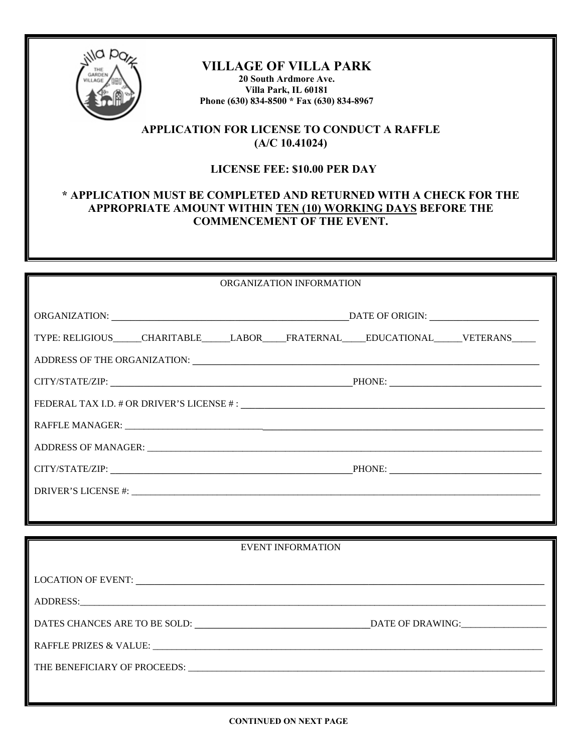

# **VILLAGE OF VILLA PARK**

**20 South Ardmore Ave. Villa Park, IL 60181 Phone (630) 834-8500 \* Fax (630) 834-8967** 

## **APPLICATION FOR LICENSE TO CONDUCT A RAFFLE (A/C 10.41024)**

#### **LICENSE FEE: \$10.00 PER DAY**

### **\* APPLICATION MUST BE COMPLETED AND RETURNED WITH A CHECK FOR THE APPROPRIATE AMOUNT WITHIN TEN (10) WORKING DAYS BEFORE THE COMMENCEMENT OF THE EVENT.**

| ORGANIZATION INFORMATION                                                                |  |
|-----------------------------------------------------------------------------------------|--|
|                                                                                         |  |
|                                                                                         |  |
|                                                                                         |  |
| TYPE: RELIGIOUS_____CHARITABLE_____LABOR____FRATERNAL_____EDUCATIONAL_____VETERANS_____ |  |
|                                                                                         |  |
|                                                                                         |  |
| CITY/STATE/ZIP: PHONE: PHONE:                                                           |  |
|                                                                                         |  |
|                                                                                         |  |
|                                                                                         |  |
|                                                                                         |  |
|                                                                                         |  |
|                                                                                         |  |
| CITY/STATE/ZIP: PHONE: PHONE:                                                           |  |
|                                                                                         |  |
|                                                                                         |  |
|                                                                                         |  |
|                                                                                         |  |
| <b>EVENT INFORMATION</b>                                                                |  |
|                                                                                         |  |
|                                                                                         |  |
|                                                                                         |  |
|                                                                                         |  |
|                                                                                         |  |

DATES CHANCES ARE TO BE SOLD: **\_\_\_\_\_\_\_\_\_\_\_\_\_\_\_\_\_\_\_\_\_\_\_\_\_\_\_\_\_\_\_\_\_\_\_\_\_**DATE OF DRAWING:\_\_\_\_\_\_\_\_\_\_\_\_\_\_\_\_\_\_

RAFFLE PRIZES & VALUE: \_\_\_\_\_\_\_\_\_\_\_\_\_\_\_\_\_\_\_\_\_\_\_\_\_\_\_\_\_\_\_\_\_\_\_\_\_\_\_\_\_\_\_\_\_\_\_\_\_\_\_\_\_\_\_\_\_\_\_\_\_\_\_\_\_\_\_\_\_\_\_\_\_\_\_\_\_\_\_\_\_\_

THE BENEFICIARY OF PROCEEDS: \_\_\_\_\_\_\_\_\_\_\_\_\_\_\_\_\_\_\_\_\_\_\_\_\_\_\_\_\_\_\_\_\_\_\_\_\_\_\_\_\_\_\_\_\_\_\_\_\_\_\_\_\_\_\_\_\_\_\_\_\_\_\_\_\_\_\_\_\_\_\_\_\_\_\_